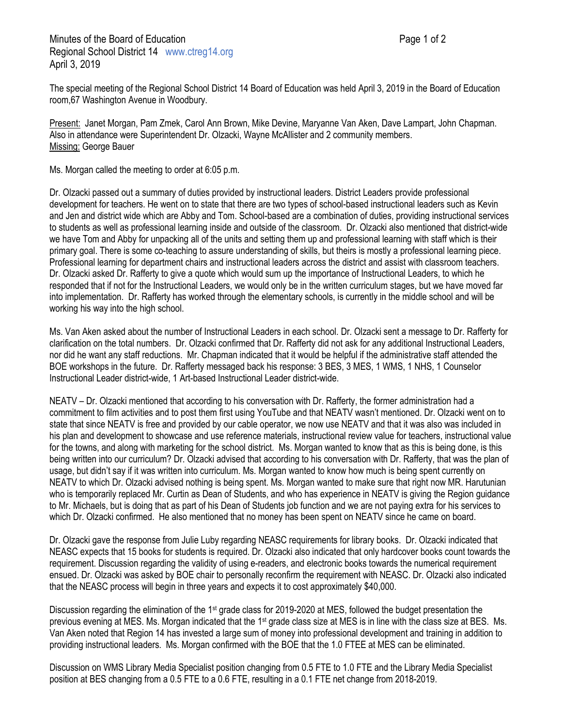The special meeting of the Regional School District 14 Board of Education was held April 3, 2019 in the Board of Education room,67 Washington Avenue in Woodbury.

Present: Janet Morgan, Pam Zmek, Carol Ann Brown, Mike Devine, Maryanne Van Aken, Dave Lampart, John Chapman. Also in attendance were Superintendent Dr. Olzacki, Wayne McAllister and 2 community members. Missing: George Bauer

Ms. Morgan called the meeting to order at 6:05 p.m.

Dr. Olzacki passed out a summary of duties provided by instructional leaders. District Leaders provide professional development for teachers. He went on to state that there are two types of school-based instructional leaders such as Kevin and Jen and district wide which are Abby and Tom. School-based are a combination of duties, providing instructional services to students as well as professional learning inside and outside of the classroom. Dr. Olzacki also mentioned that district-wide we have Tom and Abby for unpacking all of the units and setting them up and professional learning with staff which is their primary goal. There is some co-teaching to assure understanding of skills, but theirs is mostly a professional learning piece. Professional learning for department chairs and instructional leaders across the district and assist with classroom teachers. Dr. Olzacki asked Dr. Rafferty to give a quote which would sum up the importance of Instructional Leaders, to which he responded that if not for the Instructional Leaders, we would only be in the written curriculum stages, but we have moved far into implementation. Dr. Rafferty has worked through the elementary schools, is currently in the middle school and will be working his way into the high school.

Ms. Van Aken asked about the number of Instructional Leaders in each school. Dr. Olzacki sent a message to Dr. Rafferty for clarification on the total numbers. Dr. Olzacki confirmed that Dr. Rafferty did not ask for any additional Instructional Leaders, nor did he want any staff reductions. Mr. Chapman indicated that it would be helpful if the administrative staff attended the BOE workshops in the future. Dr. Rafferty messaged back his response: 3 BES, 3 MES, 1 WMS, 1 NHS, 1 Counselor Instructional Leader district-wide, 1 Art-based Instructional Leader district-wide.

NEATV – Dr. Olzacki mentioned that according to his conversation with Dr. Rafferty, the former administration had a commitment to film activities and to post them first using YouTube and that NEATV wasn't mentioned. Dr. Olzacki went on to state that since NEATV is free and provided by our cable operator, we now use NEATV and that it was also was included in his plan and development to showcase and use reference materials, instructional review value for teachers, instructional value for the towns, and along with marketing for the school district. Ms. Morgan wanted to know that as this is being done, is this being written into our curriculum? Dr. Olzacki advised that according to his conversation with Dr. Rafferty, that was the plan of usage, but didn't say if it was written into curriculum. Ms. Morgan wanted to know how much is being spent currently on NEATV to which Dr. Olzacki advised nothing is being spent. Ms. Morgan wanted to make sure that right now MR. Harutunian who is temporarily replaced Mr. Curtin as Dean of Students, and who has experience in NEATV is giving the Region guidance to Mr. Michaels, but is doing that as part of his Dean of Students job function and we are not paying extra for his services to which Dr. Olzacki confirmed. He also mentioned that no money has been spent on NEATV since he came on board.

Dr. Olzacki gave the response from Julie Luby regarding NEASC requirements for library books. Dr. Olzacki indicated that NEASC expects that 15 books for students is required. Dr. Olzacki also indicated that only hardcover books count towards the requirement. Discussion regarding the validity of using e-readers, and electronic books towards the numerical requirement ensued. Dr. Olzacki was asked by BOE chair to personally reconfirm the requirement with NEASC. Dr. Olzacki also indicated that the NEASC process will begin in three years and expects it to cost approximately \$40,000.

Discussion regarding the elimination of the 1st grade class for 2019-2020 at MES, followed the budget presentation the previous evening at MES. Ms. Morgan indicated that the 1st grade class size at MES is in line with the class size at BES. Ms. Van Aken noted that Region 14 has invested a large sum of money into professional development and training in addition to providing instructional leaders. Ms. Morgan confirmed with the BOE that the 1.0 FTEE at MES can be eliminated.

Discussion on WMS Library Media Specialist position changing from 0.5 FTE to 1.0 FTE and the Library Media Specialist position at BES changing from a 0.5 FTE to a 0.6 FTE, resulting in a 0.1 FTE net change from 2018-2019.